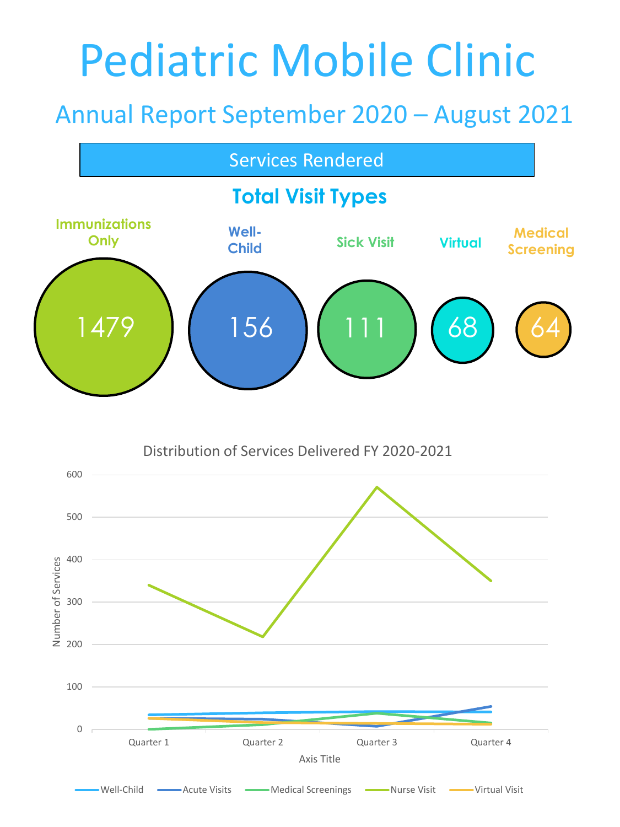# Pediatric Mobile Clinic

### Annual Report September 2020 – August 2021



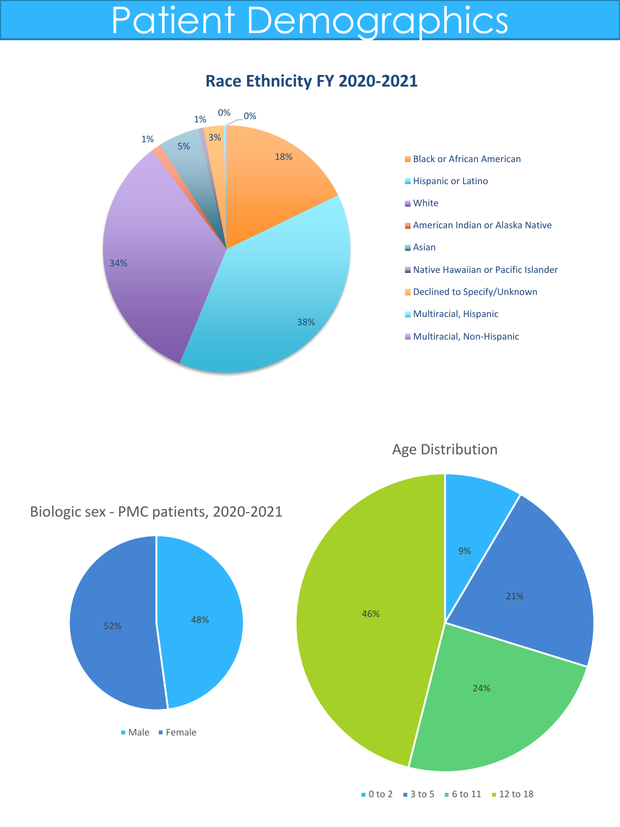## Patient Demographics

**Race Ethnicity FY 2020-2021**

### 18% 38% 34% 1% 5% 1% 3%  $0\% - 0\%$

- **Black or African American**
- **Hispanic or Latino**
- **White**
- American Indian or Alaska Native
- Asian
- Native Hawaiian or Pacific Islander
- Declined to Specify/Unknown
- **Multiracial, Hispanic**
- Multiracial, Non-Hispanic

Age Distribution



#### $\blacksquare$  0 to 2  $\blacksquare$  3 to 5  $\blacksquare$  6 to 11  $\blacksquare$  12 to 18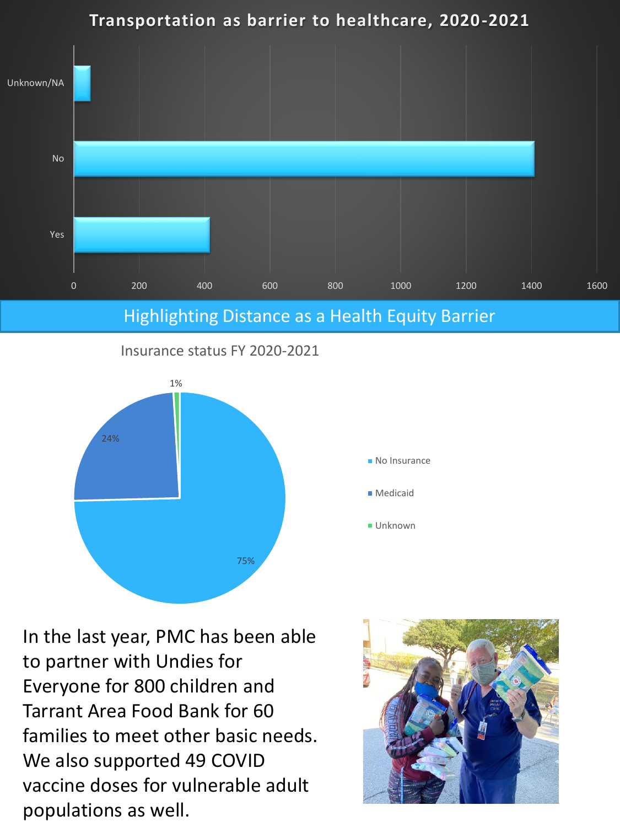

#### Insurance status FY 2020-2021



In the last year, PMC has been able to partner with Undies for Everyone for 800 children and Tarrant Area Food Bank for 60 families to meet other basic needs. We also supported 49 COVID vaccine doses for vulnerable adult populations as well.